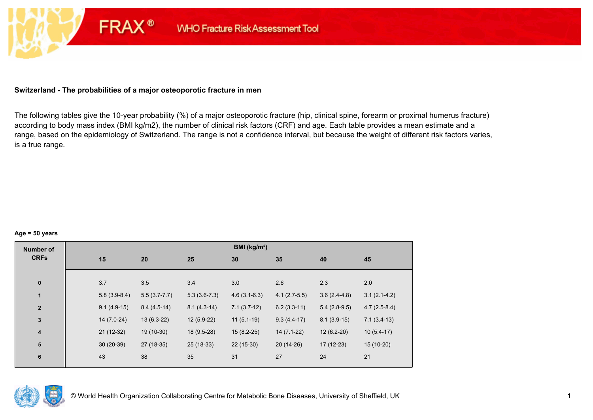## **Switzerland - The probabilities of a major osteoporotic fracture in men**

**FRAX®** 

The following tables give the 10-year probability (%) of a major osteoporotic fracture (hip, clinical spine, forearm or proximal humerus fracture) according to body mass index (BMI kg/m2), the number of clinical risk factors (CRF) and age. Each table provides a mean estimate and a range, based on the epidemiology of Switzerland. The range is not a confidence interval, but because the weight of different risk factors varies, is a true range.

#### **Age = 50 years**

| <b>Number of</b> |     |                |                  |                | BMI (kg/m <sup>2</sup> ) |                |                |                |
|------------------|-----|----------------|------------------|----------------|--------------------------|----------------|----------------|----------------|
| <b>CRFs</b>      | 15  |                | 20               | 25             | 30                       | 35             | 40             | 45             |
|                  |     |                |                  |                |                          |                |                |                |
| $\pmb{0}$        | 3.7 |                | 3.5              | 3.4            | 3.0                      | 2.6            | 2.3            | 2.0            |
| $\mathbf{1}$     |     | $5.8(3.9-8.4)$ | $5.5(3.7 - 7.7)$ | $5.3(3.6-7.3)$ | $4.6(3.1-6.3)$           | $4.1(2.7-5.5)$ | $3.6(2.4-4.8)$ | $3.1(2.1-4.2)$ |
| $\mathbf{2}$     |     | $9.1(4.9-15)$  | $8.4(4.5-14)$    | $8.1(4.3-14)$  | $7.1(3.7-12)$            | $6.2(3.3-11)$  | $5.4(2.8-9.5)$ | $4.7(2.5-8.4)$ |
| $\mathbf 3$      |     | $14(7.0-24)$   | $13(6.3-22)$     | 12 (5.9-22)    | $11(5.1-19)$             | $9.3(4.4-17)$  | $8.1(3.9-15)$  | $7.1(3.4-13)$  |
| $\boldsymbol{4}$ |     | $21(12-32)$    | 19 (10-30)       | 18 (9.5-28)    | $15(8.2-25)$             | $14(7.1-22)$   | $12(6.2-20)$   | $10(5.4-17)$   |
| 5                |     | $30(20-39)$    | 27 (18-35)       | 25 (18-33)     | $22(15-30)$              | 20 (14-26)     | $17(12-23)$    | 15 (10-20)     |
| $\bf 6$          | 43  |                | 38               | 35             | 31                       | 27             | 24             | 21             |

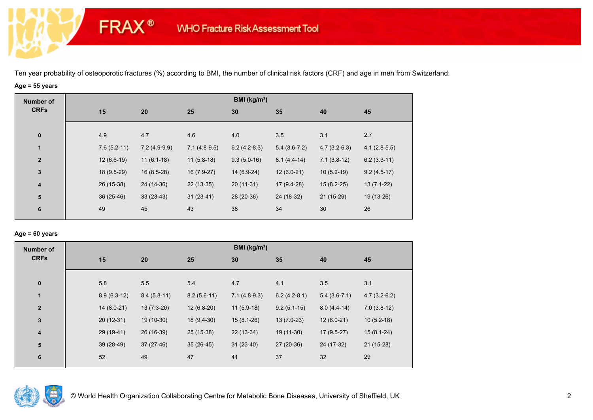## **Age = 55 years**

**FRAX®** 

| <b>Number of</b> |               |                |                | BMI ( $kg/m2$ ) |                |                |                |
|------------------|---------------|----------------|----------------|-----------------|----------------|----------------|----------------|
| <b>CRFs</b>      | 15            | 20             | 25             | 30              | 35             | 40             | 45             |
| $\bf{0}$         | 4.9           | 4.7            | 4.6            | 4.0             | 3.5            | 3.1            | 2.7            |
| $\mathbf{1}$     | $7.6(5.2-11)$ | $7.2(4.9-9.9)$ | $7.1(4.8-9.5)$ | $6.2(4.2-8.3)$  | $5.4(3.6-7.2)$ | $4.7(3.2-6.3)$ | $4.1(2.8-5.5)$ |
| $\mathbf{2}$     | $12(6.6-19)$  | $11(6.1-18)$   | $11(5.8-18)$   | $9.3(5.0-16)$   | $8.1(4.4-14)$  | $7.1(3.8-12)$  | $6.2(3.3-11)$  |
| $\mathbf{3}$     | 18 (9.5-29)   | $16(8.5-28)$   | 16 (7.9-27)    | 14 (6.9-24)     | $12(6.0-21)$   | $10(5.2-19)$   | $9.2(4.5-17)$  |
| 4                | 26 (15-38)    | 24 (14-36)     | $22(13-35)$    | $20(11-31)$     | 17 (9.4-28)    | $15(8.2-25)$   | $13(7.1-22)$   |
| ${\bf 5}$        | $36(25-46)$   | $33(23-43)$    | $31(23-41)$    | 28 (20-36)      | 24 (18-32)     | $21(15-29)$    | 19 (13-26)     |
| 6                | 49            | 45             | 43             | 38              | 34             | 30             | 26             |
|                  |               |                |                |                 |                |                |                |

#### **Age = 60 years**

| <b>Number of</b>        |               |               |               | BMI ( $kg/m2$ ) |                |                |                |
|-------------------------|---------------|---------------|---------------|-----------------|----------------|----------------|----------------|
| <b>CRFs</b>             | 15            | 20            | 25            | 30              | 35             | 40             | 45             |
|                         |               |               |               |                 |                |                |                |
| $\bf{0}$                | 5.8           | 5.5           | 5.4           | 4.7             | 4.1            | 3.5            | 3.1            |
| $\blacksquare$          | $8.9(6.3-12)$ | $8.4(5.8-11)$ | $8.2(5.6-11)$ | $7.1(4.8-9.3)$  | $6.2(4.2-8.1)$ | $5.4(3.6-7.1)$ | $4.7(3.2-6.2)$ |
| $\mathbf{2}$            | $14(8.0-21)$  | $13(7.3-20)$  | $12(6.8-20)$  | $11(5.9-18)$    | $9.2(5.1-15)$  | $8.0(4.4-14)$  | $7.0(3.8-12)$  |
| $\overline{\mathbf{3}}$ | $20(12-31)$   | 19 (10-30)    | 18 (9.4-30)   | $15(8.1-26)$    | $13(7.0-23)$   | $12(6.0-21)$   | $10(5.2-18)$   |
| $\boldsymbol{4}$        | 29 (19-41)    | 26 (16-39)    | 25 (15-38)    | $22(13-34)$     | 19 (11-30)     | $17(9.5-27)$   | $15(8.1-24)$   |
| 5                       | $39(28-49)$   | 37 (27-46)    | $35(26-45)$   | $31(23-40)$     | 27 (20-36)     | 24 (17-32)     | $21(15-28)$    |
| $6\phantom{1}6$         | 52            | 49            | 47            | 41              | 37             | 32             | 29             |
|                         |               |               |               |                 |                |                |                |

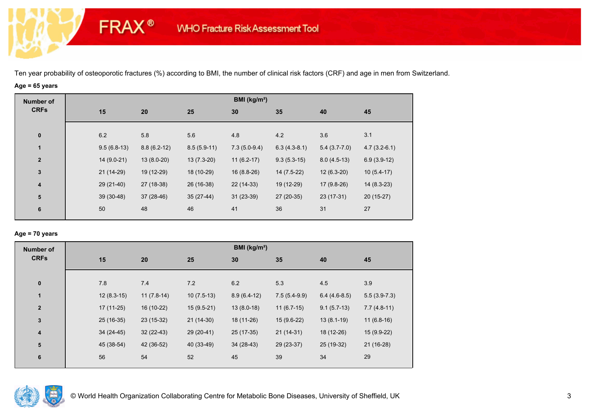# **Age = 65 years**

**FRAX®** 

| <b>Number of</b> |     |               |               |               | BMI ( $kg/m2$ ) |                |                |                |
|------------------|-----|---------------|---------------|---------------|-----------------|----------------|----------------|----------------|
| <b>CRFs</b>      | 15  | 20            | 25            |               | 30              | 35             | 40             | 45             |
| $\bf{0}$         | 6.2 | 5.8           | 5.6           |               | 4.8             | 4.2            | 3.6            | 3.1            |
| $\mathbf{1}$     |     | $9.5(6.8-13)$ | $8.8(6.2-12)$ | $8.5(5.9-11)$ | $7.3(5.0-9.4)$  | $6.3(4.3-8.1)$ | $5.4(3.7-7.0)$ | $4.7(3.2-6.1)$ |
| $\mathbf{2}$     |     | $14(9.0-21)$  | $13(8.0-20)$  | $13(7.3-20)$  | $11(6.2-17)$    | $9.3(5.3-15)$  | $8.0(4.5-13)$  | $6.9(3.9-12)$  |
| $\mathbf{3}$     |     | $21(14-29)$   | 19 (12-29)    | 18 (10-29)    | $16(8.8-26)$    | $14(7.5-22)$   | $12(6.3-20)$   | $10(5.4-17)$   |
| 4                |     | 29 (21-40)    | 27 (18-38)    | 26 (16-38)    | 22 (14-33)      | 19 (12-29)     | 17 (9.8-26)    | $14(8.3-23)$   |
| ${\bf 5}$        |     | $39(30-48)$   | $37(28-46)$   | $35(27-44)$   | $31(23-39)$     | 27 (20-35)     | $23(17-31)$    | $20(15-27)$    |
| 6                | 50  | 48            | 46            |               | 41              | 36             | 31             | 27             |

## **Age = 70 years**

| <b>Number of</b> |             |                              |              | BMI (kg/m <sup>2</sup> ) |                |                |                |
|------------------|-------------|------------------------------|--------------|--------------------------|----------------|----------------|----------------|
| <b>CRFs</b>      | 15          | 20                           | 25           | 30                       | 35             | 40             | 45             |
| $\pmb{0}$        | 7.8         | 7.4                          | 7.2          | 6.2                      | 5.3            | 4.5            | 3.9            |
| 1                |             | $12(8.3-15)$<br>$11(7.8-14)$ | $10(7.5-13)$ | $8.9(6.4-12)$            | $7.5(5.4-9.9)$ | $6.4(4.6-8.5)$ | $5.5(3.9-7.3)$ |
| $\mathbf{2}$     | $17(11-25)$ | 16 (10-22)                   | $15(9.5-21)$ | $13(8.0-18)$             | $11(6.7-15)$   | $9.1(5.7-13)$  | $7.7(4.8-11)$  |
| $\mathbf 3$      | 25 (16-35)  | 23 (15-32)                   | $21(14-30)$  | 18 (11-26)               | $15(9.6-22)$   | $13(8.1-19)$   | $11(6.8-16)$   |
| 4                | $34(24-45)$ | $32(22-43)$                  | 29 (20-41)   | 25 (17-35)               | $21(14-31)$    | 18 (12-26)     | 15 (9.9-22)    |
| ${\bf 5}$        | 45 (38-54)  | 42 (36-52)                   | 40 (33-49)   | $34(28-43)$              | 29 (23-37)     | 25 (19-32)     | $21(16-28)$    |
| 6                | 56          | 54                           | 52           | 45                       | 39             | 34             | 29             |

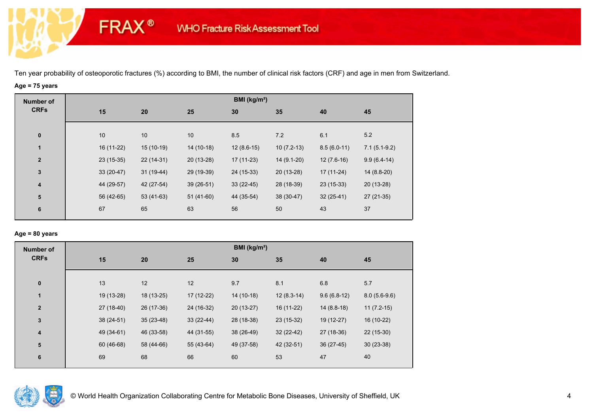# **Age = 75 years**

**FRAX®** 

| <b>Number of</b>        |             |             |             | BMI (kg/m <sup>2</sup> ) |              |               |                |
|-------------------------|-------------|-------------|-------------|--------------------------|--------------|---------------|----------------|
| <b>CRFs</b>             | 15          | 20          | 25          | 30                       | 35           | 40            | 45             |
|                         |             |             |             |                          |              |               |                |
| $\bf{0}$                | 10          | 10          | 10          | 8.5                      | 7.2          | 6.1           | 5.2            |
| $\mathbf{1}$            | 16 (11-22)  | $15(10-19)$ | 14 (10-18)  | $12(8.6-15)$             | $10(7.2-13)$ | $8.5(6.0-11)$ | $7.1(5.1-9.2)$ |
| $\mathbf{2}$            | $23(15-35)$ | $22(14-31)$ | $20(13-28)$ | $17(11-23)$              | 14 (9.1-20)  | $12(7.6-16)$  | $9.9(6.4-14)$  |
| $\mathbf{3}$            | $33(20-47)$ | $31(19-44)$ | 29 (19-39)  | 24 (15-33)               | $20(13-28)$  | $17(11-24)$   | $14(8.8-20)$   |
| $\overline{\mathbf{4}}$ | 44 (29-57)  | 42 (27-54)  | $39(26-51)$ | $33(22-45)$              | 28 (18-39)   | $23(15-33)$   | 20 (13-28)     |
| ${\bf 5}$               | 56 (42-65)  | $53(41-63)$ | $51(41-60)$ | 44 (35-54)               | $38(30-47)$  | $32(25-41)$   | $27(21-35)$    |
| 6                       | 67          | 65          | 63          | 56                       | 50           | 43            | 37             |
|                         |             |             |             |                          |              |               |                |

## **Age = 80 years**

| <b>Number of</b>        |             |             |             | BMI (kg/m <sup>2</sup> ) |              |               |                |
|-------------------------|-------------|-------------|-------------|--------------------------|--------------|---------------|----------------|
| <b>CRFs</b>             | 15          | 20          | 25          | 30                       | 35           | 40            | 45             |
| $\pmb{0}$               | 13          | 12          | 12          | 9.7                      | 8.1          | 6.8           | 5.7            |
| 1                       | 19 (13-28)  | 18 (13-25)  | 17 (12-22)  | 14 (10-18)               | $12(8.3-14)$ | $9.6(6.8-12)$ | $8.0(5.6-9.6)$ |
| $\overline{2}$          | 27 (18-40)  | 26 (17-36)  | 24 (16-32)  | $20(13-27)$              | 16 (11-22)   | $14(8.8-18)$  | $11(7.2-15)$   |
| $\mathbf 3$             | $38(24-51)$ | $35(23-48)$ | $33(22-44)$ | 28 (18-38)               | $23(15-32)$  | 19 (12-27)    | 16 (10-22)     |
| $\overline{\mathbf{4}}$ | 49 (34-61)  | 46 (33-58)  | 44 (31-55)  | 38 (26-49)               | $32(22-42)$  | 27 (18-36)    | 22 (15-30)     |
| ${\bf 5}$               | 60 (46-68)  | 58 (44-66)  | 55 (43-64)  | 49 (37-58)               | 42 (32-51)   | $36(27-45)$   | $30(23-38)$    |
| 6                       | 69          | 68          | 66          | 60                       | 53           | 47            | 40             |